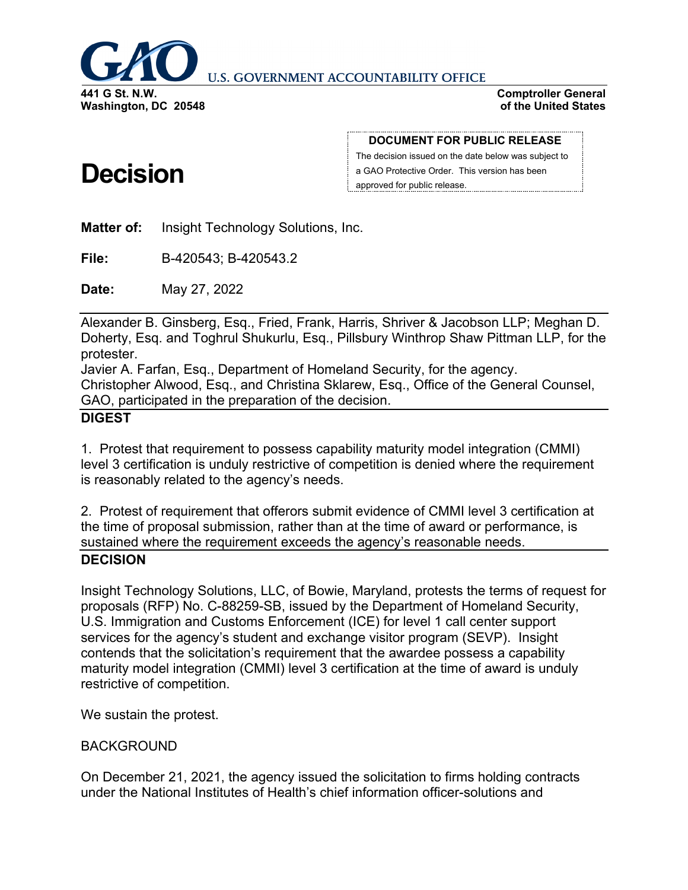

**U.S. GOVERNMENT ACCOUNTABILITY OFFICE** 

**Comptroller General of the United States**

# **Decision**

#### **DOCUMENT FOR PUBLIC RELEASE**

The decision issued on the date below was subject to a GAO Protective Order. This version has been approved for public release.

**Matter of:** Insight Technology Solutions, Inc.

**File:** B-420543; B-420543.2

**Date:** May 27, 2022

Alexander B. Ginsberg, Esq., Fried, Frank, Harris, Shriver & Jacobson LLP; Meghan D. Doherty, Esq. and Toghrul Shukurlu, Esq., Pillsbury Winthrop Shaw Pittman LLP, for the protester.

Javier A. Farfan, Esq., Department of Homeland Security, for the agency. Christopher Alwood, Esq., and Christina Sklarew, Esq., Office of the General Counsel, GAO, participated in the preparation of the decision.

### **DIGEST**

1. Protest that requirement to possess capability maturity model integration (CMMI) level 3 certification is unduly restrictive of competition is denied where the requirement is reasonably related to the agency's needs.

2. Protest of requirement that offerors submit evidence of CMMI level 3 certification at the time of proposal submission, rather than at the time of award or performance, is sustained where the requirement exceeds the agency's reasonable needs. **DECISION**

Insight Technology Solutions, LLC, of Bowie, Maryland, protests the terms of request for proposals (RFP) No. C-88259-SB, issued by the Department of Homeland Security, U.S. Immigration and Customs Enforcement (ICE) for level 1 call center support services for the agency's student and exchange visitor program (SEVP). Insight contends that the solicitation's requirement that the awardee possess a capability maturity model integration (CMMI) level 3 certification at the time of award is unduly restrictive of competition.

We sustain the protest.

# BACKGROUND

On December 21, 2021, the agency issued the solicitation to firms holding contracts under the National Institutes of Health's chief information officer-solutions and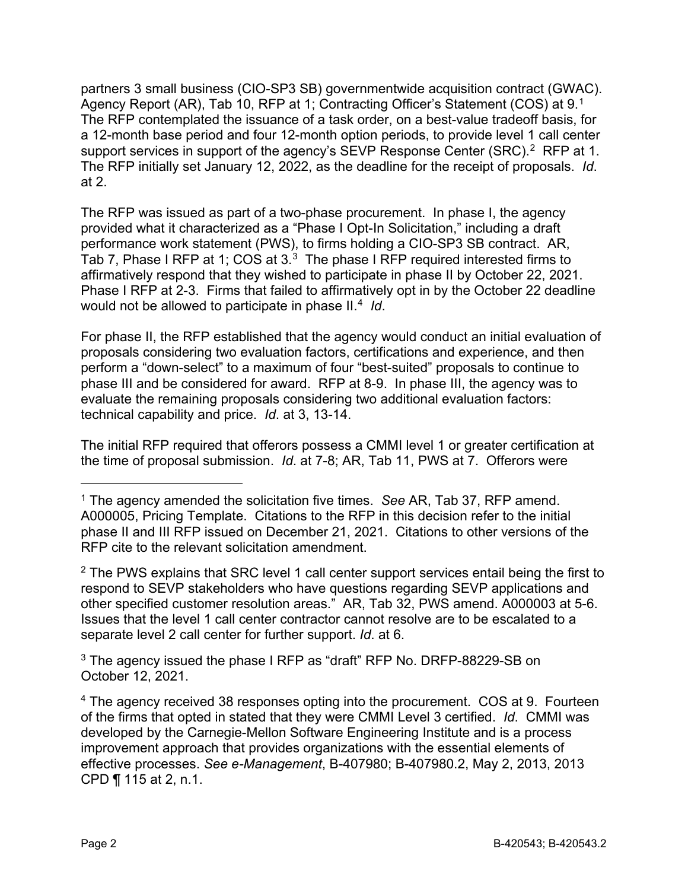partners 3 small business (CIO-SP3 SB) governmentwide acquisition contract (GWAC). Agency Report (AR), Tab 10, RFP at 1; Contracting Officer's Statement (COS) at 9.<sup>1</sup> The RFP contemplated the issuance of a task order, on a best-value tradeoff basis, for a 12-month base period and four 12-month option periods, to provide level 1 call center support services in support of the agency's SEVP Response Center (SRC). [2](#page-1-1) RFP at 1. The RFP initially set January 12, 2022, as the deadline for the receipt of proposals. *Id*. at 2.

The RFP was issued as part of a two-phase procurement. In phase I, the agency provided what it characterized as a "Phase I Opt-In Solicitation," including a draft performance work statement (PWS), to firms holding a CIO-SP3 SB contract. AR, Tab 7, Phase I RFP at 1; COS at 3. $^3\,$  The phase I RFP required interested firms to affirmatively respond that they wished to participate in phase II by October 22, 2021. Phase I RFP at 2-3. Firms that failed to affirmatively opt in by the October 22 deadline would not be allowed to participate in phase II.<sup>[4](#page-1-3)</sup> *Id*.

For phase II, the RFP established that the agency would conduct an initial evaluation of proposals considering two evaluation factors, certifications and experience, and then perform a "down-select" to a maximum of four "best-suited" proposals to continue to phase III and be considered for award. RFP at 8-9. In phase III, the agency was to evaluate the remaining proposals considering two additional evaluation factors: technical capability and price. *Id*. at 3, 13-14.

The initial RFP required that offerors possess a CMMI level 1 or greater certification at the time of proposal submission. *Id*. at 7-8; AR, Tab 11, PWS at 7. Offerors were

<span id="page-1-1"></span> $2$  The PWS explains that SRC level 1 call center support services entail being the first to respond to SEVP stakeholders who have questions regarding SEVP applications and other specified customer resolution areas." AR, Tab 32, PWS amend. A000003 at 5-6. Issues that the level 1 call center contractor cannot resolve are to be escalated to a separate level 2 call center for further support. *Id*. at 6.

<span id="page-1-2"></span><sup>3</sup> The agency issued the phase I RFP as "draft" RFP No. DRFP-88229-SB on October 12, 2021.

<span id="page-1-0"></span><sup>1</sup> The agency amended the solicitation five times. *See* AR, Tab 37, RFP amend. A000005, Pricing Template. Citations to the RFP in this decision refer to the initial phase II and III RFP issued on December 21, 2021. Citations to other versions of the RFP cite to the relevant solicitation amendment.

<span id="page-1-3"></span><sup>&</sup>lt;sup>4</sup> The agency received 38 responses opting into the procurement. COS at 9. Fourteen of the firms that opted in stated that they were CMMI Level 3 certified. *Id*. CMMI was developed by the Carnegie-Mellon Software Engineering Institute and is a process improvement approach that provides organizations with the essential elements of effective processes. *See e-Management*, B-407980; B-407980.2, May 2, 2013, 2013 CPD ¶ 115 at 2, n.1.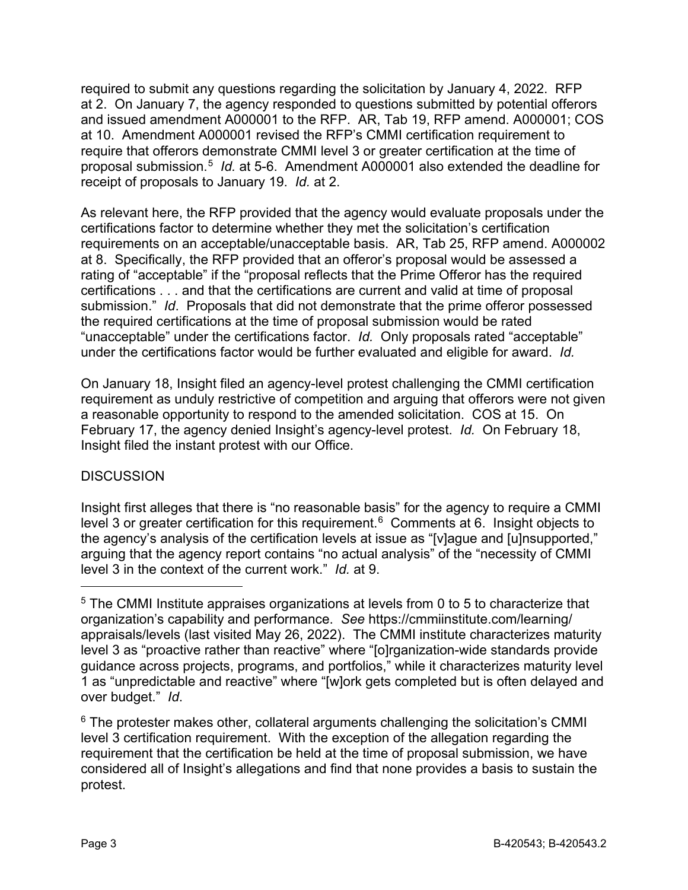required to submit any questions regarding the solicitation by January 4, 2022. RFP at 2. On January 7, the agency responded to questions submitted by potential offerors and issued amendment A000001 to the RFP. AR, Tab 19, RFP amend. A000001; COS at 10. Amendment A000001 revised the RFP's CMMI certification requirement to require that offerors demonstrate CMMI level 3 or greater certification at the time of proposal submission.[5](#page-2-0) *Id.* at 5-6. Amendment A000001 also extended the deadline for receipt of proposals to January 19. *Id.* at 2.

As relevant here, the RFP provided that the agency would evaluate proposals under the certifications factor to determine whether they met the solicitation's certification requirements on an acceptable/unacceptable basis. AR, Tab 25, RFP amend. A000002 at 8. Specifically, the RFP provided that an offeror's proposal would be assessed a rating of "acceptable" if the "proposal reflects that the Prime Offeror has the required certifications . . . and that the certifications are current and valid at time of proposal submission." *Id*. Proposals that did not demonstrate that the prime offeror possessed the required certifications at the time of proposal submission would be rated "unacceptable" under the certifications factor. *Id.* Only proposals rated "acceptable" under the certifications factor would be further evaluated and eligible for award. *Id.*

On January 18, Insight filed an agency-level protest challenging the CMMI certification requirement as unduly restrictive of competition and arguing that offerors were not given a reasonable opportunity to respond to the amended solicitation. COS at 15. On February 17, the agency denied Insight's agency-level protest. *Id.* On February 18, Insight filed the instant protest with our Office.

### **DISCUSSION**

<u>.</u>

Insight first alleges that there is "no reasonable basis" for the agency to require a CMMI level 3 or greater certification for this requirement.<sup>[6](#page-2-1)</sup> Comments at 6. Insight objects to the agency's analysis of the certification levels at issue as "[v]ague and [u]nsupported," arguing that the agency report contains "no actual analysis" of the "necessity of CMMI level 3 in the context of the current work." *Id.* at 9.

<span id="page-2-0"></span><sup>5</sup> The CMMI Institute appraises organizations at levels from 0 to 5 to characterize that organization's capability and performance. *See* https://cmmiinstitute.com/learning/ appraisals/levels (last visited May 26, 2022). The CMMI institute characterizes maturity level 3 as "proactive rather than reactive" where "[o]rganization-wide standards provide guidance across projects, programs, and portfolios," while it characterizes maturity level 1 as "unpredictable and reactive" where "[w]ork gets completed but is often delayed and over budget." *Id*.

<span id="page-2-1"></span> $6$  The protester makes other, collateral arguments challenging the solicitation's CMMI level 3 certification requirement. With the exception of the allegation regarding the requirement that the certification be held at the time of proposal submission, we have considered all of Insight's allegations and find that none provides a basis to sustain the protest.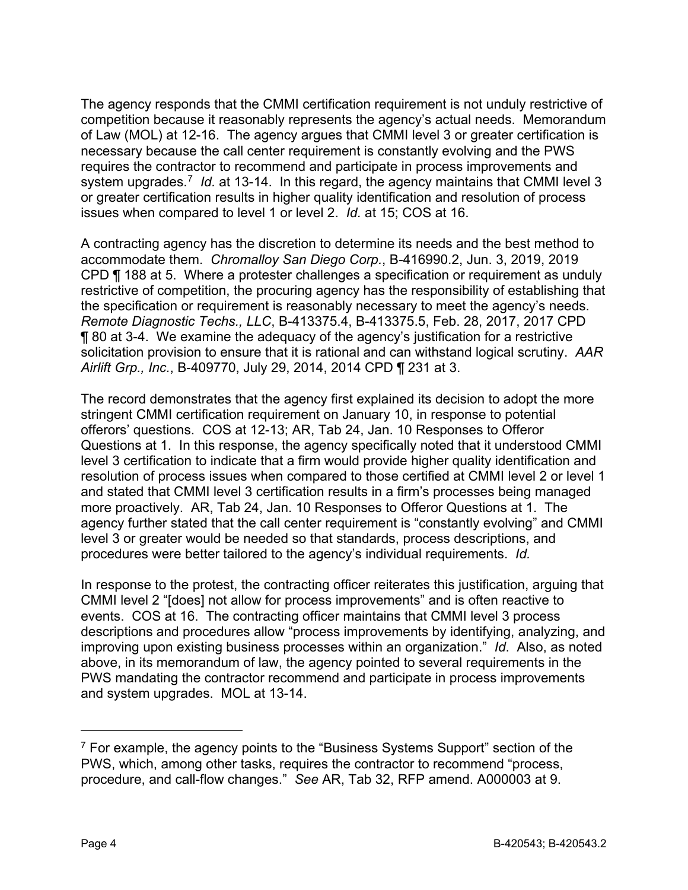The agency responds that the CMMI certification requirement is not unduly restrictive of competition because it reasonably represents the agency's actual needs. Memorandum of Law (MOL) at 12-16. The agency argues that CMMI level 3 or greater certification is necessary because the call center requirement is constantly evolving and the PWS requires the contractor to recommend and participate in process improvements and system upgrades.[7](#page-3-0) *Id.* at 13-14. In this regard, the agency maintains that CMMI level 3 or greater certification results in higher quality identification and resolution of process issues when compared to level 1 or level 2. *Id.* at 15; COS at 16.

A contracting agency has the discretion to determine its needs and the best method to accommodate them. *Chromalloy San Diego Corp.*, B-416990.2, Jun. 3, 2019, 2019 CPD ¶ 188 at 5. Where a protester challenges a specification or requirement as unduly restrictive of competition, the procuring agency has the responsibility of establishing that the specification or requirement is reasonably necessary to meet the agency's needs. *Remote Diagnostic Techs., LLC*, B-413375.4, B-413375.5, Feb. 28, 2017, 2017 CPD ¶ 80 at 3-4. We examine the adequacy of the agency's justification for a restrictive solicitation provision to ensure that it is rational and can withstand logical scrutiny. *AAR Airlift Grp., Inc.*, B-409770, July 29, 2014, 2014 CPD ¶ 231 at 3.

The record demonstrates that the agency first explained its decision to adopt the more stringent CMMI certification requirement on January 10, in response to potential offerors' questions. COS at 12-13; AR, Tab 24, Jan. 10 Responses to Offeror Questions at 1. In this response, the agency specifically noted that it understood CMMI level 3 certification to indicate that a firm would provide higher quality identification and resolution of process issues when compared to those certified at CMMI level 2 or level 1 and stated that CMMI level 3 certification results in a firm's processes being managed more proactively. AR, Tab 24, Jan. 10 Responses to Offeror Questions at 1. The agency further stated that the call center requirement is "constantly evolving" and CMMI level 3 or greater would be needed so that standards, process descriptions, and procedures were better tailored to the agency's individual requirements. *Id.*

In response to the protest, the contracting officer reiterates this justification, arguing that CMMI level 2 "[does] not allow for process improvements" and is often reactive to events. COS at 16. The contracting officer maintains that CMMI level 3 process descriptions and procedures allow "process improvements by identifying, analyzing, and improving upon existing business processes within an organization." *Id*. Also, as noted above, in its memorandum of law, the agency pointed to several requirements in the PWS mandating the contractor recommend and participate in process improvements and system upgrades. MOL at 13-14.

<span id="page-3-0"></span> $7$  For example, the agency points to the "Business Systems Support" section of the PWS, which, among other tasks, requires the contractor to recommend "process, procedure, and call-flow changes." *See* AR, Tab 32, RFP amend. A000003 at 9.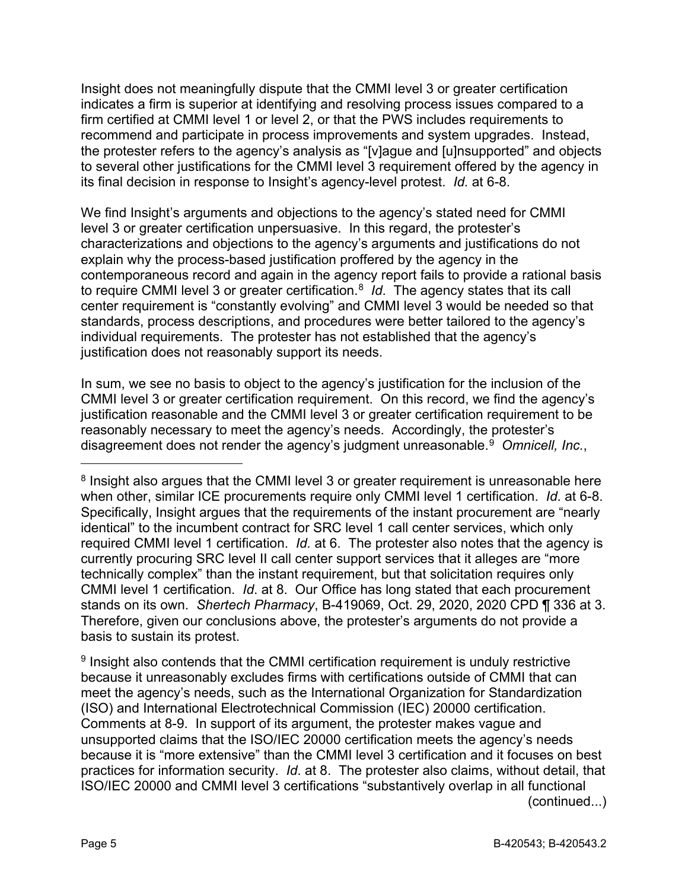Insight does not meaningfully dispute that the CMMI level 3 or greater certification indicates a firm is superior at identifying and resolving process issues compared to a firm certified at CMMI level 1 or level 2, or that the PWS includes requirements to recommend and participate in process improvements and system upgrades. Instead, the protester refers to the agency's analysis as "[v]ague and [u]nsupported" and objects to several other justifications for the CMMI level 3 requirement offered by the agency in its final decision in response to Insight's agency-level protest. *Id.* at 6-8.

We find Insight's arguments and objections to the agency's stated need for CMMI level 3 or greater certification unpersuasive. In this regard, the protester's characterizations and objections to the agency's arguments and justifications do not explain why the process-based justification proffered by the agency in the contemporaneous record and again in the agency report fails to provide a rational basis to require CMMI level 3 or greater certification.[8](#page-4-0) *Id*. The agency states that its call center requirement is "constantly evolving" and CMMI level 3 would be needed so that standards, process descriptions, and procedures were better tailored to the agency's individual requirements. The protester has not established that the agency's justification does not reasonably support its needs.

In sum, we see no basis to object to the agency's justification for the inclusion of the CMMI level 3 or greater certification requirement. On this record, we find the agency's justification reasonable and the CMMI level 3 or greater certification requirement to be reasonably necessary to meet the agency's needs. Accordingly, the protester's disagreement does not render the agency's judgment unreasonable.[9](#page-4-1) *Omnicell, Inc.*,

<span id="page-4-1"></span><sup>9</sup> Insight also contends that the CMMI certification requirement is unduly restrictive because it unreasonably excludes firms with certifications outside of CMMI that can meet the agency's needs, such as the International Organization for Standardization (ISO) and International Electrotechnical Commission (IEC) 20000 certification. Comments at 8-9. In support of its argument, the protester makes vague and unsupported claims that the ISO/IEC 20000 certification meets the agency's needs because it is "more extensive" than the CMMI level 3 certification and it focuses on best practices for information security. *Id*. at 8. The protester also claims, without detail, that ISO/IEC 20000 and CMMI level 3 certifications "substantively overlap in all functional (continued...)

<u>.</u>

<span id="page-4-0"></span><sup>&</sup>lt;sup>8</sup> Insight also argues that the CMMI level 3 or greater requirement is unreasonable here when other, similar ICE procurements require only CMMI level 1 certification. *Id*. at 6-8. Specifically, Insight argues that the requirements of the instant procurement are "nearly identical" to the incumbent contract for SRC level 1 call center services, which only required CMMI level 1 certification. *Id.* at 6. The protester also notes that the agency is currently procuring SRC level II call center support services that it alleges are "more technically complex" than the instant requirement, but that solicitation requires only CMMI level 1 certification. *Id*. at 8. Our Office has long stated that each procurement stands on its own. *Shertech Pharmacy*, B-419069, Oct. 29, 2020, 2020 CPD ¶ 336 at 3. Therefore, given our conclusions above, the protester's arguments do not provide a basis to sustain its protest.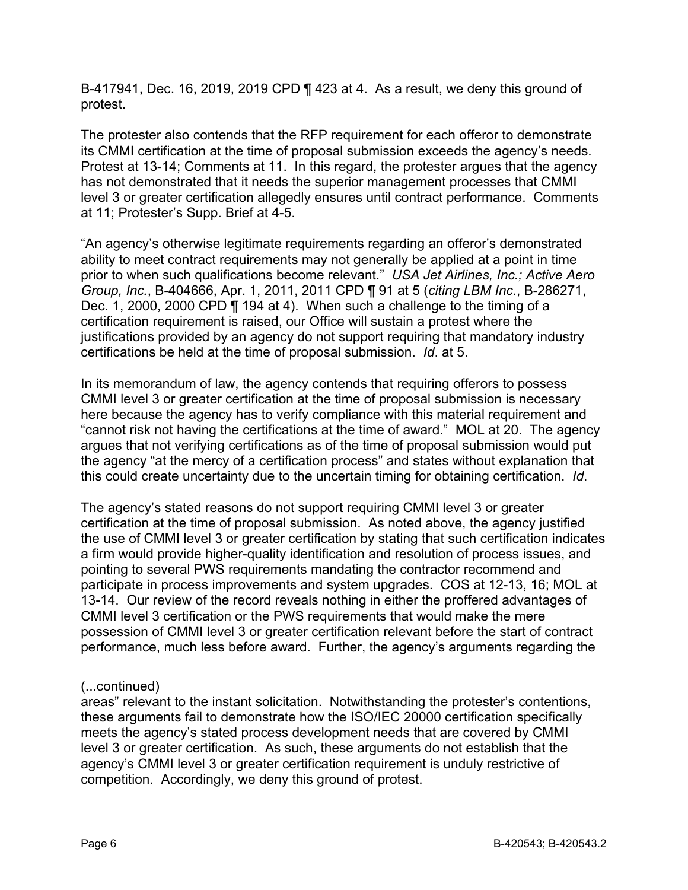B-417941, Dec. 16, 2019, 2019 CPD ¶ 423 at 4. As a result, we deny this ground of protest.

The protester also contends that the RFP requirement for each offeror to demonstrate its CMMI certification at the time of proposal submission exceeds the agency's needs. Protest at 13-14; Comments at 11. In this regard, the protester argues that the agency has not demonstrated that it needs the superior management processes that CMMI level 3 or greater certification allegedly ensures until contract performance. Comments at 11; Protester's Supp. Brief at 4-5.

"An agency's otherwise legitimate requirements regarding an offeror's demonstrated ability to meet contract requirements may not generally be applied at a point in time prior to when such qualifications become relevant." *USA Jet Airlines, Inc.; Active Aero Group, Inc.*, B-404666, Apr. 1, 2011, 2011 CPD ¶ 91 at 5 (*citing LBM Inc.*, B-286271, Dec. 1, 2000, 2000 CPD ¶ 194 at 4). When such a challenge to the timing of a certification requirement is raised, our Office will sustain a protest where the justifications provided by an agency do not support requiring that mandatory industry certifications be held at the time of proposal submission. *Id*. at 5.

In its memorandum of law, the agency contends that requiring offerors to possess CMMI level 3 or greater certification at the time of proposal submission is necessary here because the agency has to verify compliance with this material requirement and "cannot risk not having the certifications at the time of award." MOL at 20. The agency argues that not verifying certifications as of the time of proposal submission would put the agency "at the mercy of a certification process" and states without explanation that this could create uncertainty due to the uncertain timing for obtaining certification. *Id*.

The agency's stated reasons do not support requiring CMMI level 3 or greater certification at the time of proposal submission. As noted above, the agency justified the use of CMMI level 3 or greater certification by stating that such certification indicates a firm would provide higher-quality identification and resolution of process issues, and pointing to several PWS requirements mandating the contractor recommend and participate in process improvements and system upgrades. COS at 12-13, 16; MOL at 13-14. Our review of the record reveals nothing in either the proffered advantages of CMMI level 3 certification or the PWS requirements that would make the mere possession of CMMI level 3 or greater certification relevant before the start of contract performance, much less before award. Further, the agency's arguments regarding the

-

<sup>(...</sup>continued)

areas" relevant to the instant solicitation. Notwithstanding the protester's contentions, these arguments fail to demonstrate how the ISO/IEC 20000 certification specifically meets the agency's stated process development needs that are covered by CMMI level 3 or greater certification. As such, these arguments do not establish that the agency's CMMI level 3 or greater certification requirement is unduly restrictive of competition. Accordingly, we deny this ground of protest.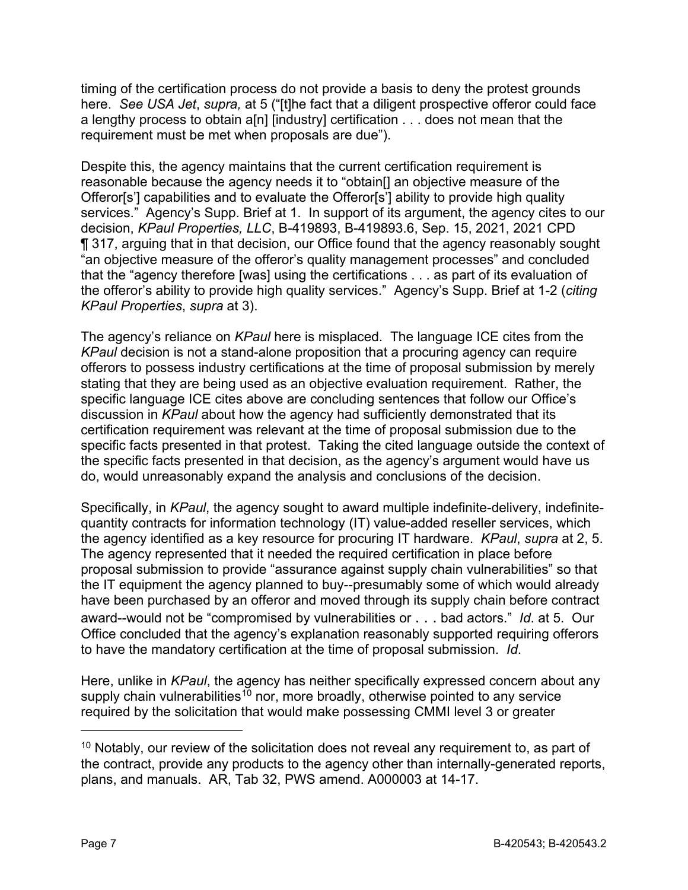timing of the certification process do not provide a basis to deny the protest grounds here. *See USA Jet*, *supra,* at 5 ("[t]he fact that a diligent prospective offeror could face a lengthy process to obtain a[n] [industry] certification . . . does not mean that the requirement must be met when proposals are due").

Despite this, the agency maintains that the current certification requirement is reasonable because the agency needs it to "obtain[] an objective measure of the Offeror[s'] capabilities and to evaluate the Offeror[s'] ability to provide high quality services." Agency's Supp. Brief at 1. In support of its argument, the agency cites to our decision, *KPaul Properties, LLC*, B-419893, B-419893.6, Sep. 15, 2021, 2021 CPD ¶ 317, arguing that in that decision, our Office found that the agency reasonably sought "an objective measure of the offeror's quality management processes" and concluded that the "agency therefore [was] using the certifications . . . as part of its evaluation of the offeror's ability to provide high quality services." Agency's Supp. Brief at 1-2 (*citing KPaul Properties*, *supra* at 3).

The agency's reliance on *KPaul* here is misplaced. The language ICE cites from the *KPaul* decision is not a stand-alone proposition that a procuring agency can require offerors to possess industry certifications at the time of proposal submission by merely stating that they are being used as an objective evaluation requirement. Rather, the specific language ICE cites above are concluding sentences that follow our Office's discussion in *KPaul* about how the agency had sufficiently demonstrated that its certification requirement was relevant at the time of proposal submission due to the specific facts presented in that protest. Taking the cited language outside the context of the specific facts presented in that decision, as the agency's argument would have us do, would unreasonably expand the analysis and conclusions of the decision.

Specifically, in *KPaul*, the agency sought to award multiple indefinite-delivery, indefinitequantity contracts for information technology (IT) value-added reseller services, which the agency identified as a key resource for procuring IT hardware. *KPaul*, *supra* at 2, 5. The agency represented that it needed the required certification in place before proposal submission to provide "assurance against supply chain vulnerabilities" so that the IT equipment the agency planned to buy--presumably some of which would already have been purchased by an offeror and moved through its supply chain before contract award--would not be "compromised by vulnerabilities or . . . bad actors." *Id*. at 5. Our Office concluded that the agency's explanation reasonably supported requiring offerors to have the mandatory certification at the time of proposal submission. *Id*.

Here, unlike in *KPaul*, the agency has neither specifically expressed concern about any supply chain vulnerabilities<sup>[10](#page-6-0)</sup> nor, more broadly, otherwise pointed to any service required by the solicitation that would make possessing CMMI level 3 or greater

<span id="page-6-0"></span> $10$  Notably, our review of the solicitation does not reveal any requirement to, as part of the contract, provide any products to the agency other than internally-generated reports, plans, and manuals. AR, Tab 32, PWS amend. A000003 at 14-17.